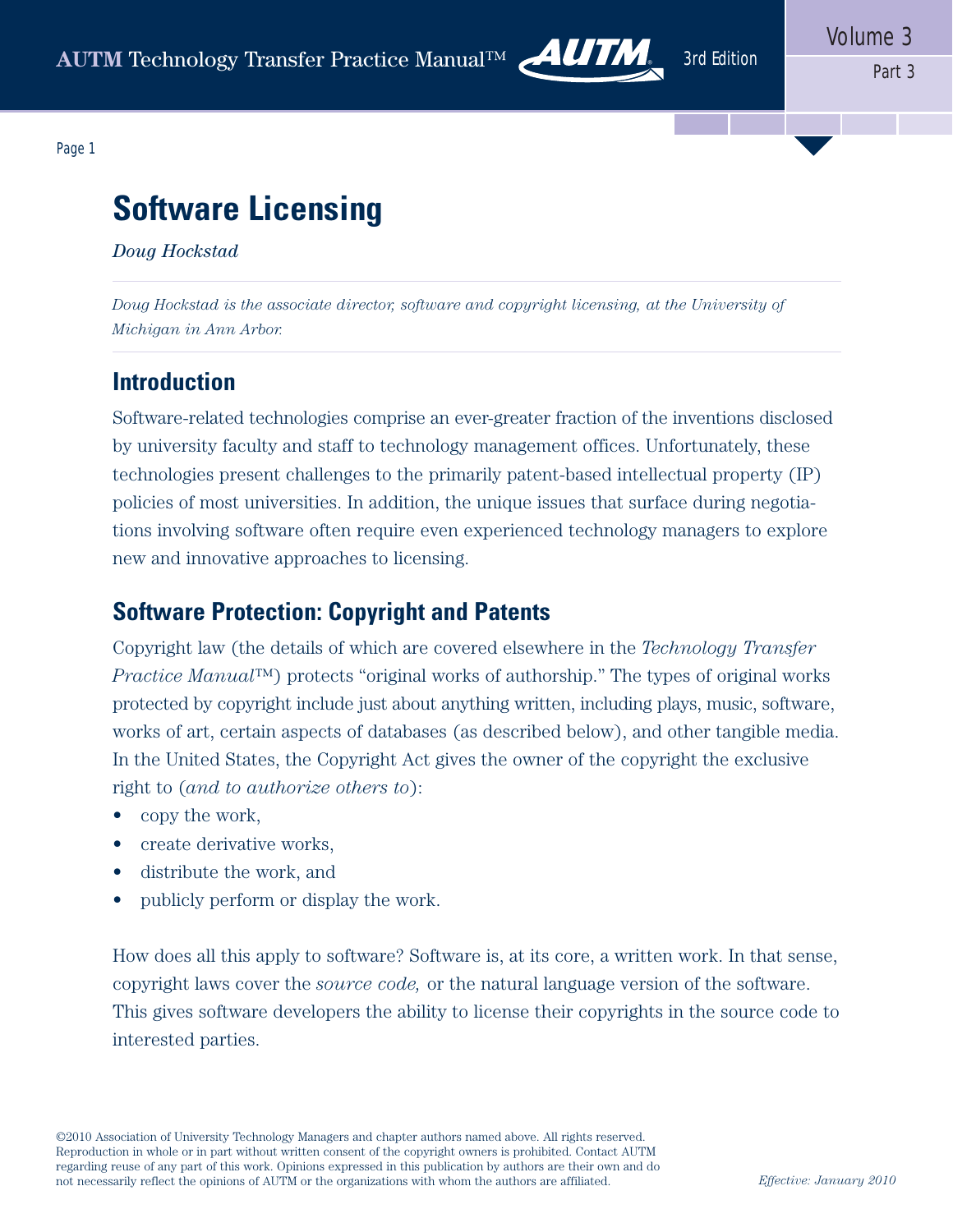

Page 1

# **Software Licensing**

*Doug Hockstad*

*Doug Hockstad is the associate director, software and copyright licensing, at the University of Michigan in Ann Arbor.*

### **Introduction**

Software-related technologies comprise an ever-greater fraction of the inventions disclosed by university faculty and staff to technology management offices. Unfortunately, these technologies present challenges to the primarily patent-based intellectual property (IP) policies of most universities. In addition, the unique issues that surface during negotiations involving software often require even experienced technology managers to explore new and innovative approaches to licensing.

# **Software Protection: Copyright and Patents**

Copyright law (the details of which are covered elsewhere in the *Technology Transfer Practice Manual*™) protects "original works of authorship." The types of original works protected by copyright include just about anything written, including plays, music, software, works of art, certain aspects of databases (as described below), and other tangible media. In the United States, the Copyright Act gives the owner of the copyright the exclusive right to (*and to authorize others to*):

- copy the work,
- create derivative works,
- distribute the work, and
- publicly perform or display the work.

How does all this apply to software? Software is, at its core, a written work. In that sense, copyright laws cover the *source code,* or the natural language version of the software. This gives software developers the ability to license their copyrights in the source code to interested parties.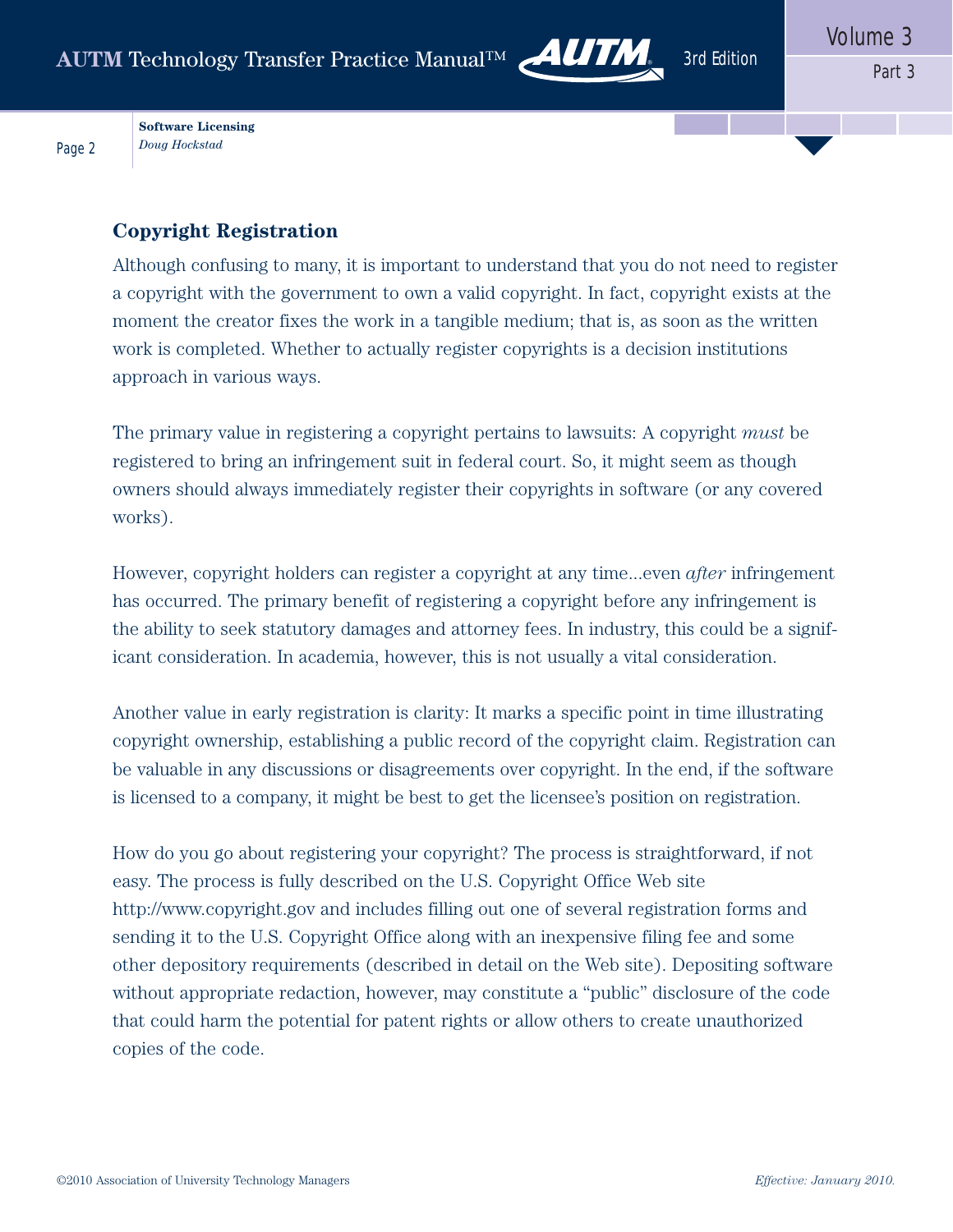**Software Licensing** *Doug Hockstad*

Page 2

#### **Copyright Registration**

Although confusing to many, it is important to understand that you do not need to register a copyright with the government to own a valid copyright. In fact, copyright exists at the moment the creator fixes the work in a tangible medium; that is, as soon as the written work is completed. Whether to actually register copyrights is a decision institutions approach in various ways.

The primary value in registering a copyright pertains to lawsuits: A copyright *must* be registered to bring an infringement suit in federal court. So, it might seem as though owners should always immediately register their copyrights in software (or any covered works).

However, copyright holders can register a copyright at any time...even *after* infringement has occurred. The primary benefit of registering a copyright before any infringement is the ability to seek statutory damages and attorney fees. In industry, this could be a significant consideration. In academia, however, this is not usually a vital consideration.

Another value in early registration is clarity: It marks a specific point in time illustrating copyright ownership, establishing a public record of the copyright claim. Registration can be valuable in any discussions or disagreements over copyright. In the end, if the software is licensed to a company, it might be best to get the licensee's position on registration.

How do you go about registering your copyright? The process is straightforward, if not easy. The process is fully described on the U.S. Copyright Office Web site http://www.copyright.gov and includes filling out one of several registration forms and sending it to the U.S. Copyright Office along with an inexpensive filing fee and some other depository requirements (described in detail on the Web site). Depositing software without appropriate redaction, however, may constitute a "public" disclosure of the code that could harm the potential for patent rights or allow others to create unauthorized copies of the code.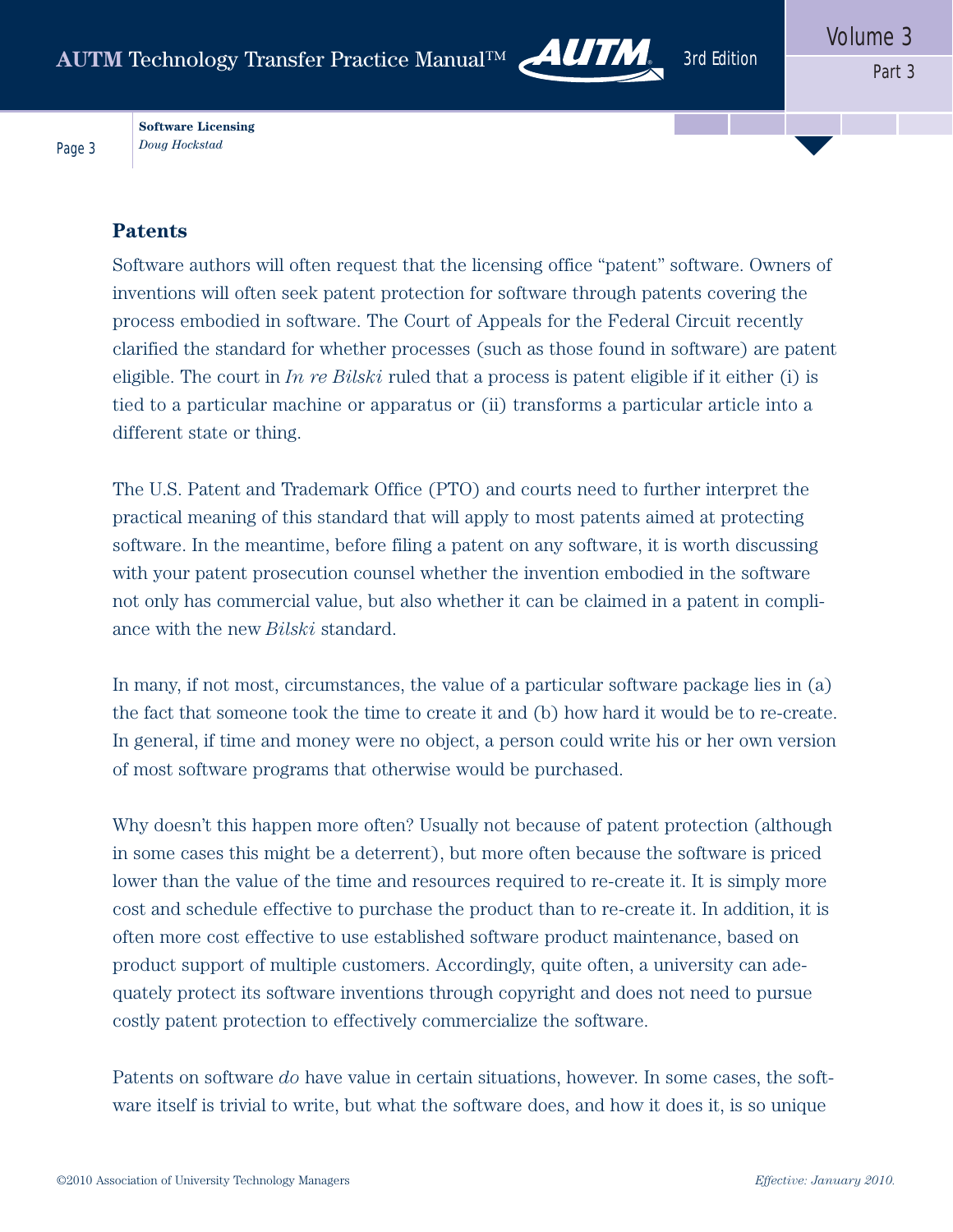

**Software Licensing** *Doug Hockstad*

#### **Patents**

Page 3

Software authors will often request that the licensing office "patent" software. Owners of inventions will often seek patent protection for software through patents covering the process embodied in software. The Court of Appeals for the Federal Circuit recently clarified the standard for whether processes (such as those found in software) are patent eligible. The court in *In re Bilski* ruled that a process is patent eligible if it either (i) is tied to a particular machine or apparatus or (ii) transforms a particular article into a different state or thing.

The U.S. Patent and Trademark Office (PTO) and courts need to further interpret the practical meaning of this standard that will apply to most patents aimed at protecting software. In the meantime, before filing a patent on any software, it is worth discussing with your patent prosecution counsel whether the invention embodied in the software not only has commercial value, but also whether it can be claimed in a patent in compliance with the new *Bilski* standard.

In many, if not most, circumstances, the value of a particular software package lies in (a) the fact that someone took the time to create it and (b) how hard it would be to re-create. In general, if time and money were no object, a person could write his or her own version of most software programs that otherwise would be purchased.

Why doesn't this happen more often? Usually not because of patent protection (although in some cases this might be a deterrent), but more often because the software is priced lower than the value of the time and resources required to re-create it. It is simply more cost and schedule effective to purchase the product than to re-create it. In addition, it is often more cost effective to use established software product maintenance, based on product support of multiple customers. Accordingly, quite often, a university can adequately protect its software inventions through copyright and does not need to pursue costly patent protection to effectively commercialize the software.

Patents on software *do* have value in certain situations, however. In some cases, the software itself is trivial to write, but what the software does, and how it does it, is so unique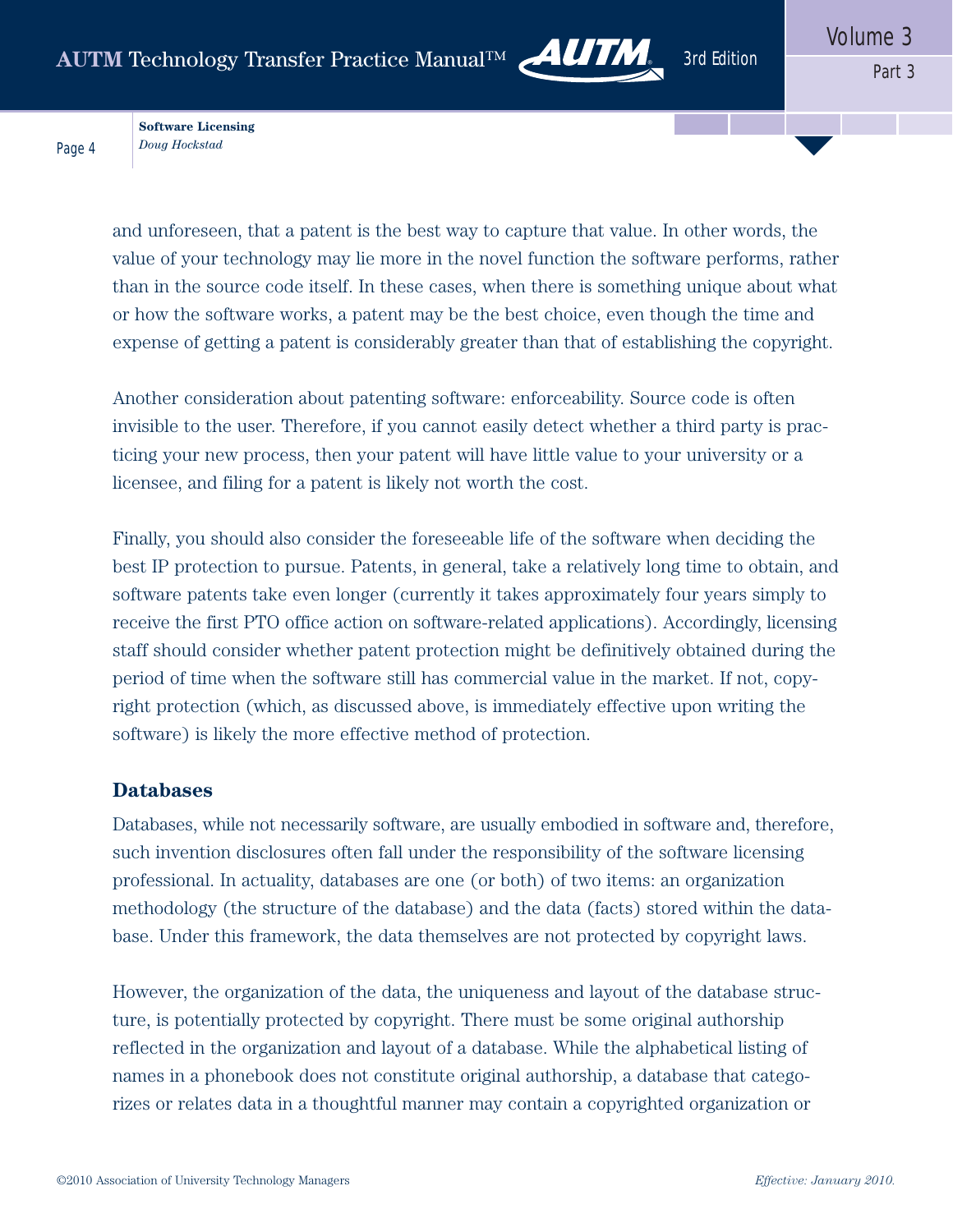

**Software Licensing** *Doug Hockstad*

Page 4

and unforeseen, that a patent is the best way to capture that value. In other words, the value of your technology may lie more in the novel function the software performs, rather than in the source code itself. In these cases, when there is something unique about what or how the software works, a patent may be the best choice, even though the time and expense of getting a patent is considerably greater than that of establishing the copyright.

Another consideration about patenting software: enforceability. Source code is often invisible to the user. Therefore, if you cannot easily detect whether a third party is practicing your new process, then your patent will have little value to your university or a licensee, and filing for a patent is likely not worth the cost.

Finally, you should also consider the foreseeable life of the software when deciding the best IP protection to pursue. Patents, in general, take a relatively long time to obtain, and software patents take even longer (currently it takes approximately four years simply to receive the first PTO office action on software-related applications). Accordingly, licensing staff should consider whether patent protection might be definitively obtained during the period of time when the software still has commercial value in the market. If not, copyright protection (which, as discussed above, is immediately effective upon writing the software) is likely the more effective method of protection.

#### **Databases**

Databases, while not necessarily software, are usually embodied in software and, therefore, such invention disclosures often fall under the responsibility of the software licensing professional. In actuality, databases are one (or both) of two items: an organization methodology (the structure of the database) and the data (facts) stored within the database. Under this framework, the data themselves are not protected by copyright laws.

However, the organization of the data, the uniqueness and layout of the database structure, is potentially protected by copyright. There must be some original authorship reflected in the organization and layout of a database. While the alphabetical listing of names in a phonebook does not constitute original authorship, a database that categorizes or relates data in a thoughtful manner may contain a copyrighted organization or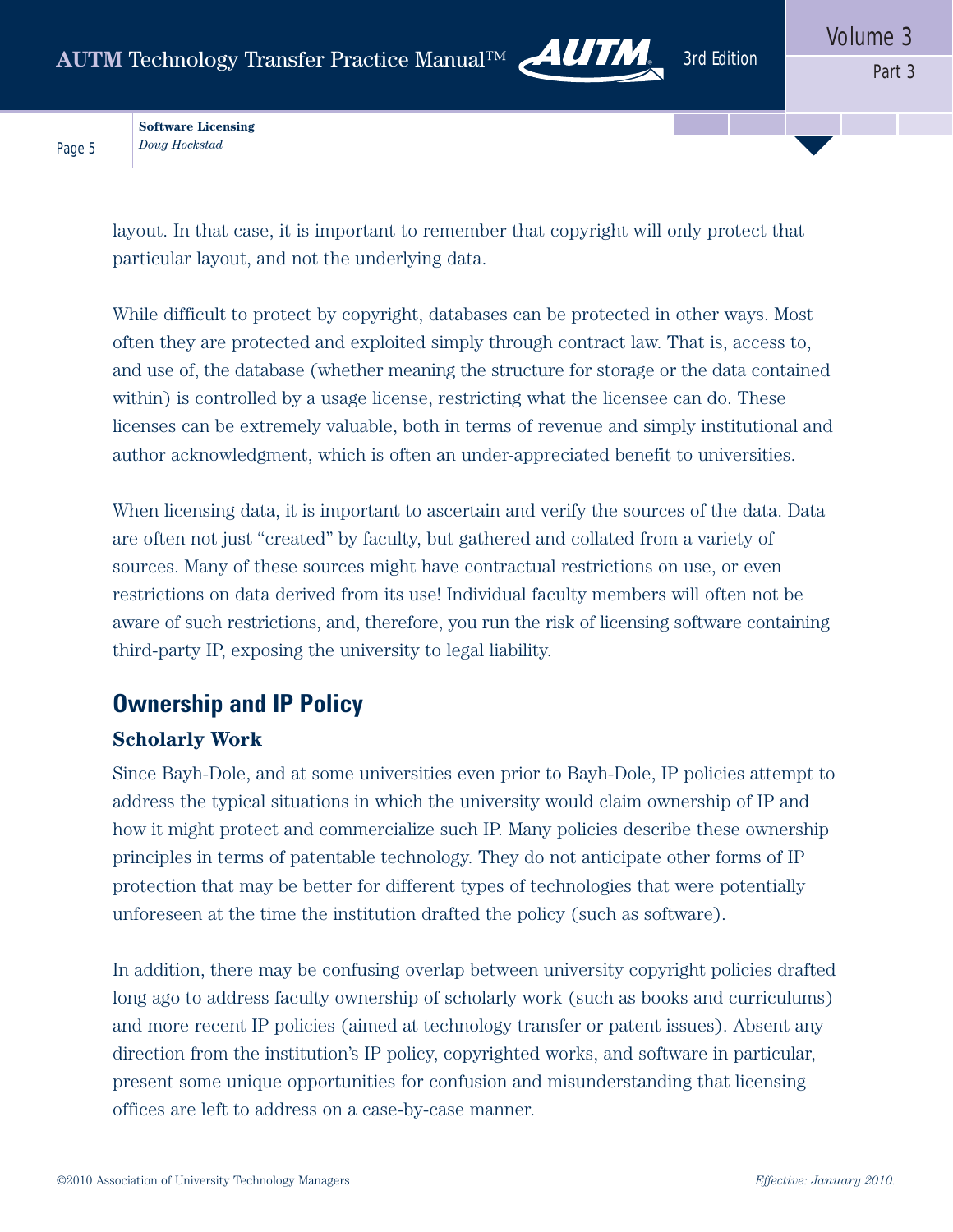

**Software Licensing** *Doug Hockstad*

Page 5

layout. In that case, it is important to remember that copyright will only protect that particular layout, and not the underlying data.

While difficult to protect by copyright, databases can be protected in other ways. Most often they are protected and exploited simply through contract law. That is, access to, and use of, the database (whether meaning the structure for storage or the data contained within) is controlled by a usage license, restricting what the licensee can do. These licenses can be extremely valuable, both in terms of revenue and simply institutional and author acknowledgment, which is often an under-appreciated benefit to universities.

When licensing data, it is important to ascertain and verify the sources of the data. Data are often not just "created" by faculty, but gathered and collated from a variety of sources. Many of these sources might have contractual restrictions on use, or even restrictions on data derived from its use! Individual faculty members will often not be aware of such restrictions, and, therefore, you run the risk of licensing software containing third-party IP, exposing the university to legal liability.

# **Ownership and IP Policy**

#### **Scholarly Work**

Since Bayh-Dole, and at some universities even prior to Bayh-Dole, IP policies attempt to address the typical situations in which the university would claim ownership of IP and how it might protect and commercialize such IP. Many policies describe these ownership principles in terms of patentable technology. They do not anticipate other forms of IP protection that may be better for different types of technologies that were potentially unforeseen at the time the institution drafted the policy (such as software).

In addition, there may be confusing overlap between university copyright policies drafted long ago to address faculty ownership of scholarly work (such as books and curriculums) and more recent IP policies (aimed at technology transfer or patent issues). Absent any direction from the institution's IP policy, copyrighted works, and software in particular, present some unique opportunities for confusion and misunderstanding that licensing offices are left to address on a case-by-case manner.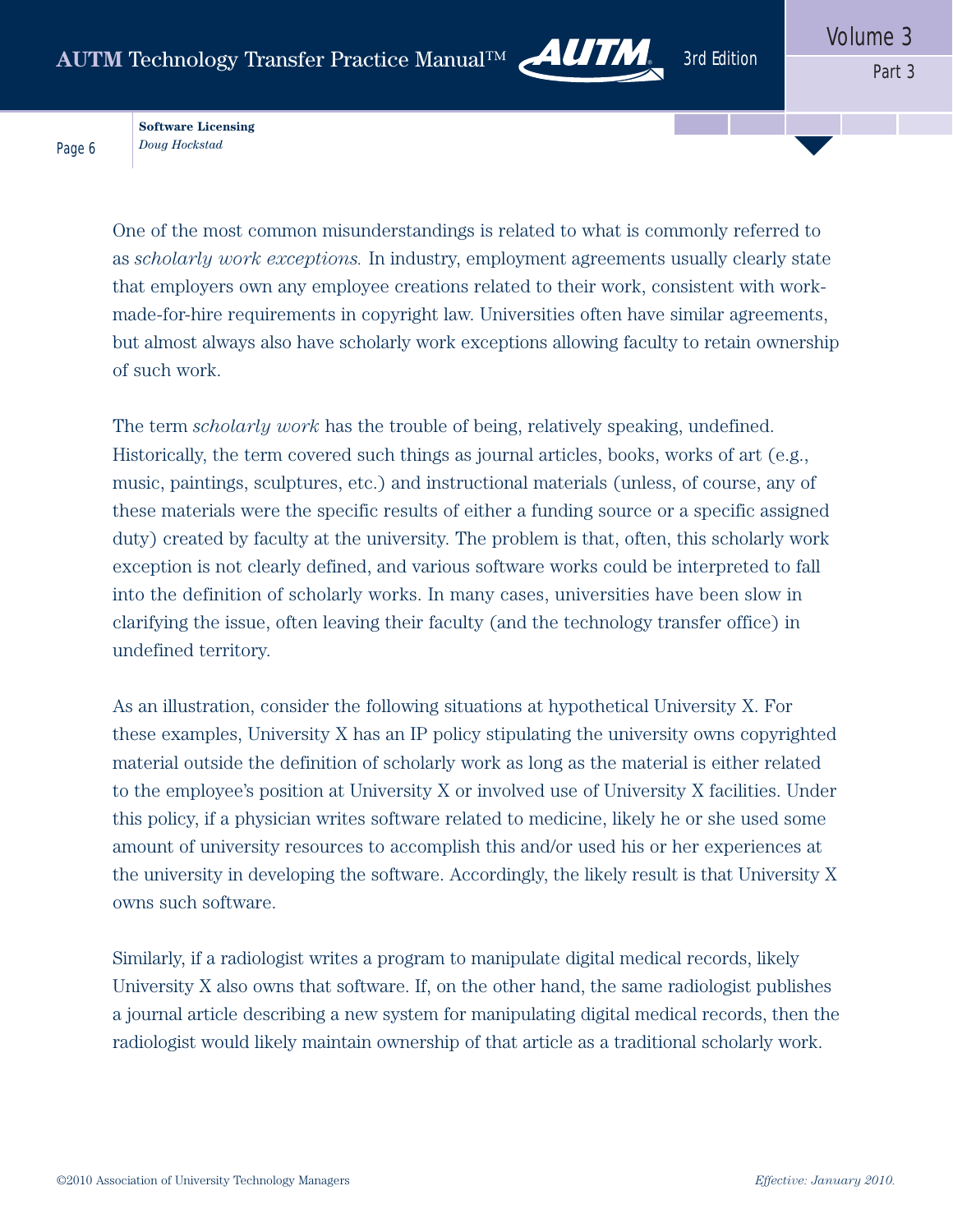

**Software Licensing** *Doug Hockstad*

Page 6

One of the most common misunderstandings is related to what is commonly referred to as *scholarly work exceptions.* In industry, employment agreements usually clearly state that employers own any employee creations related to their work, consistent with workmade-for-hire requirements in copyright law. Universities often have similar agreements, but almost always also have scholarly work exceptions allowing faculty to retain ownership of such work.

The term *scholarly work* has the trouble of being, relatively speaking, undefined. Historically, the term covered such things as journal articles, books, works of art (e.g., music, paintings, sculptures, etc.) and instructional materials (unless, of course, any of these materials were the specific results of either a funding source or a specific assigned duty) created by faculty at the university. The problem is that, often, this scholarly work exception is not clearly defined, and various software works could be interpreted to fall into the definition of scholarly works. In many cases, universities have been slow in clarifying the issue, often leaving their faculty (and the technology transfer office) in undefined territory.

As an illustration, consider the following situations at hypothetical University X. For these examples, University X has an IP policy stipulating the university owns copyrighted material outside the definition of scholarly work as long as the material is either related to the employee's position at University X or involved use of University X facilities. Under this policy, if a physician writes software related to medicine, likely he or she used some amount of university resources to accomplish this and/or used his or her experiences at the university in developing the software. Accordingly, the likely result is that University X owns such software.

Similarly, if a radiologist writes a program to manipulate digital medical records, likely University X also owns that software. If, on the other hand, the same radiologist publishes a journal article describing a new system for manipulating digital medical records, then the radiologist would likely maintain ownership of that article as a traditional scholarly work.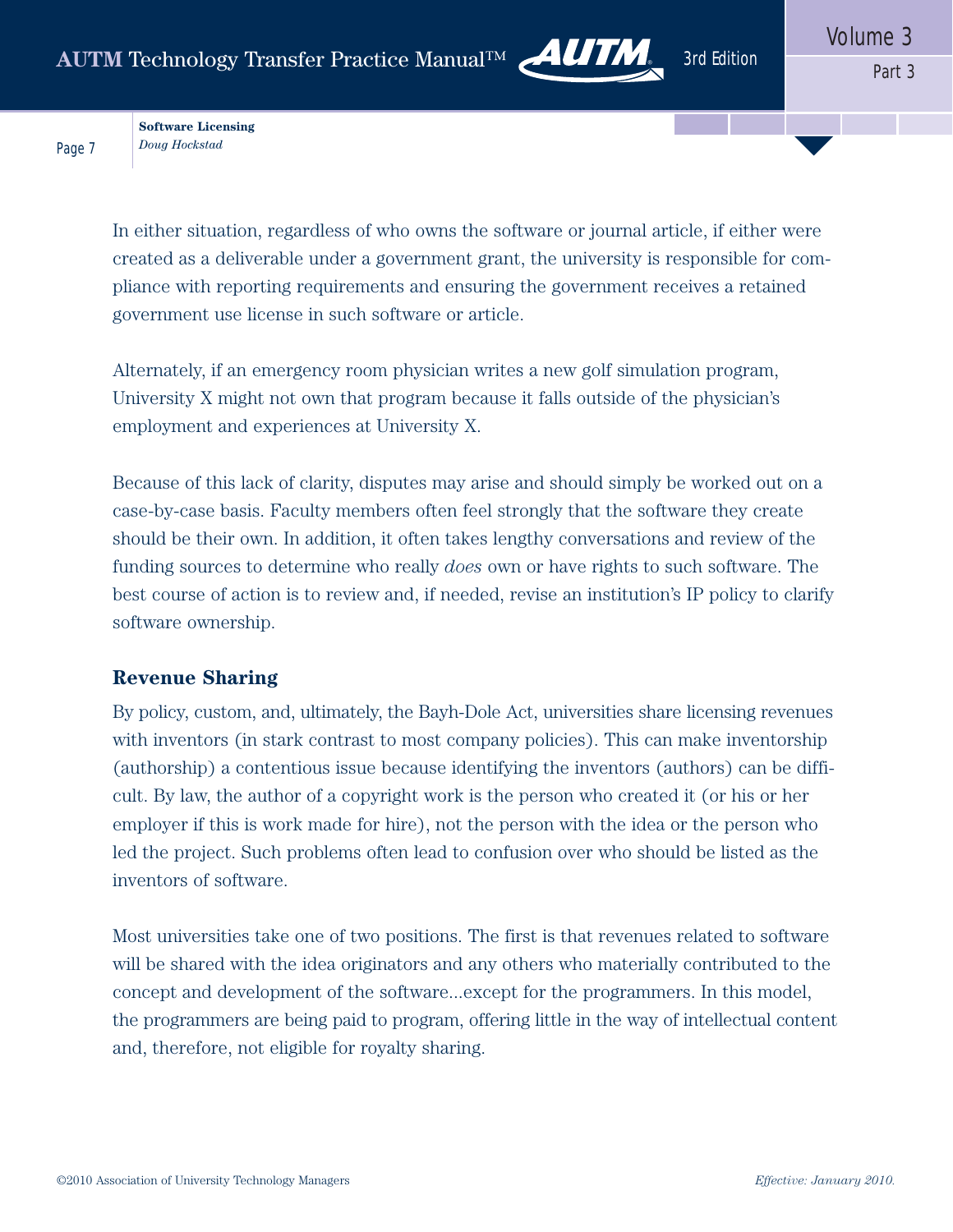

**Software Licensing** *Doug Hockstad*

Page 7

In either situation, regardless of who owns the software or journal article, if either were created as a deliverable under a government grant, the university is responsible for compliance with reporting requirements and ensuring the government receives a retained government use license in such software or article.

Alternately, if an emergency room physician writes a new golf simulation program, University X might not own that program because it falls outside of the physician's employment and experiences at University X.

Because of this lack of clarity, disputes may arise and should simply be worked out on a case-by-case basis. Faculty members often feel strongly that the software they create should be their own. In addition, it often takes lengthy conversations and review of the funding sources to determine who really *does* own or have rights to such software. The best course of action is to review and, if needed, revise an institution's IP policy to clarify software ownership.

#### **Revenue Sharing**

By policy, custom, and, ultimately, the Bayh-Dole Act, universities share licensing revenues with inventors (in stark contrast to most company policies). This can make inventorship (authorship) a contentious issue because identifying the inventors (authors) can be difficult. By law, the author of a copyright work is the person who created it (or his or her employer if this is work made for hire), not the person with the idea or the person who led the project. Such problems often lead to confusion over who should be listed as the inventors of software.

Most universities take one of two positions. The first is that revenues related to software will be shared with the idea originators and any others who materially contributed to the concept and development of the software...except for the programmers. In this model, the programmers are being paid to program, offering little in the way of intellectual content and, therefore, not eligible for royalty sharing.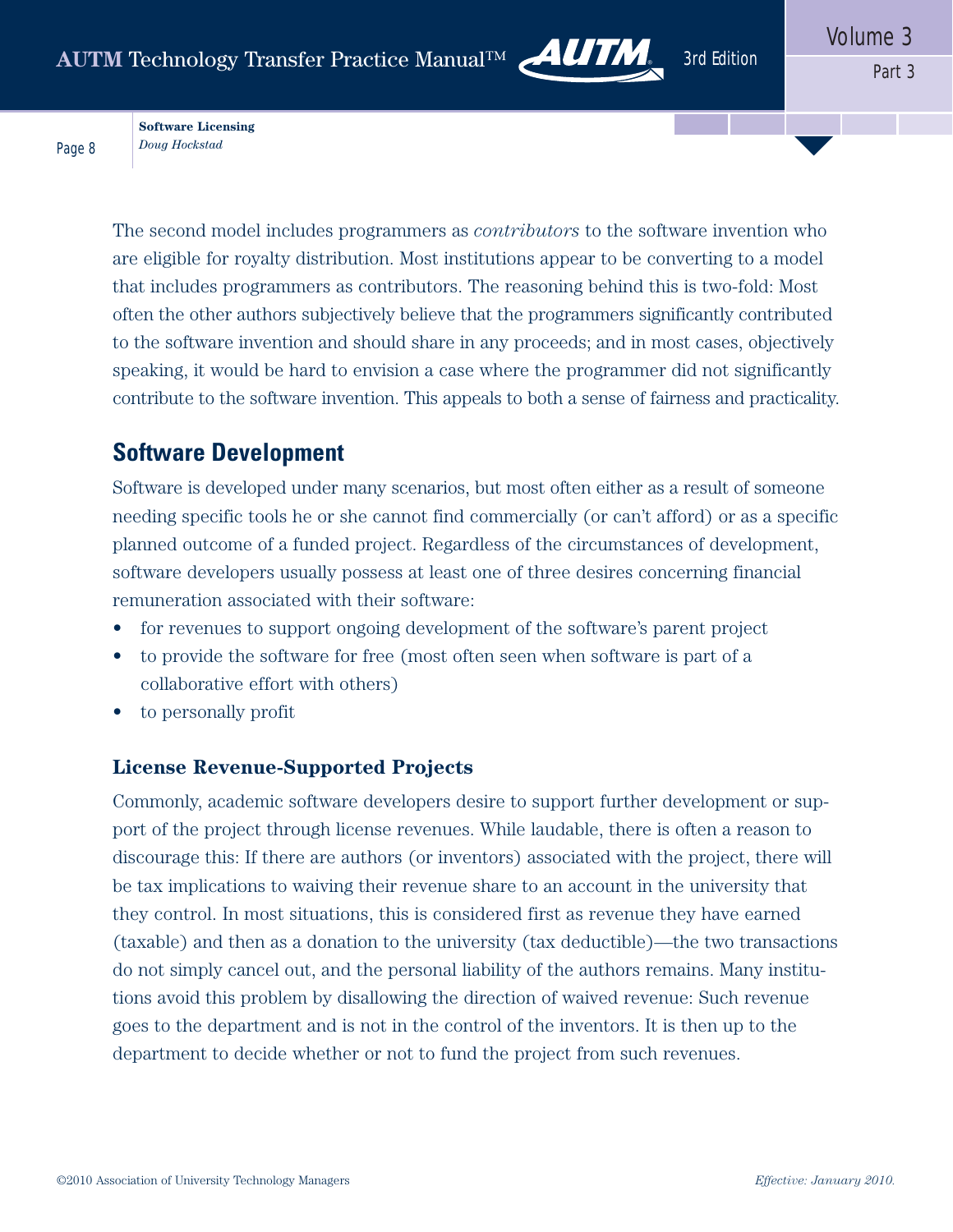

**Software Licensing** *Doug Hockstad*

Page 8

The second model includes programmers as *contributors* to the software invention who are eligible for royalty distribution. Most institutions appear to be converting to a model that includes programmers as contributors. The reasoning behind this is two-fold: Most often the other authors subjectively believe that the programmers significantly contributed to the software invention and should share in any proceeds; and in most cases, objectively speaking, it would be hard to envision a case where the programmer did not significantly contribute to the software invention. This appeals to both a sense of fairness and practicality.

## **Software Development**

Software is developed under many scenarios, but most often either as a result of someone needing specific tools he or she cannot find commercially (or can't afford) or as a specific planned outcome of a funded project. Regardless of the circumstances of development, software developers usually possess at least one of three desires concerning financial remuneration associated with their software:

- for revenues to support ongoing development of the software's parent project
- to provide the software for free (most often seen when software is part of a collaborative effort with others)
- to personally profit

#### **License Revenue-Supported Projects**

Commonly, academic software developers desire to support further development or support of the project through license revenues. While laudable, there is often a reason to discourage this: If there are authors (or inventors) associated with the project, there will be tax implications to waiving their revenue share to an account in the university that they control. In most situations, this is considered first as revenue they have earned (taxable) and then as a donation to the university (tax deductible)—the two transactions do not simply cancel out, and the personal liability of the authors remains. Many institutions avoid this problem by disallowing the direction of waived revenue: Such revenue goes to the department and is not in the control of the inventors. It is then up to the department to decide whether or not to fund the project from such revenues.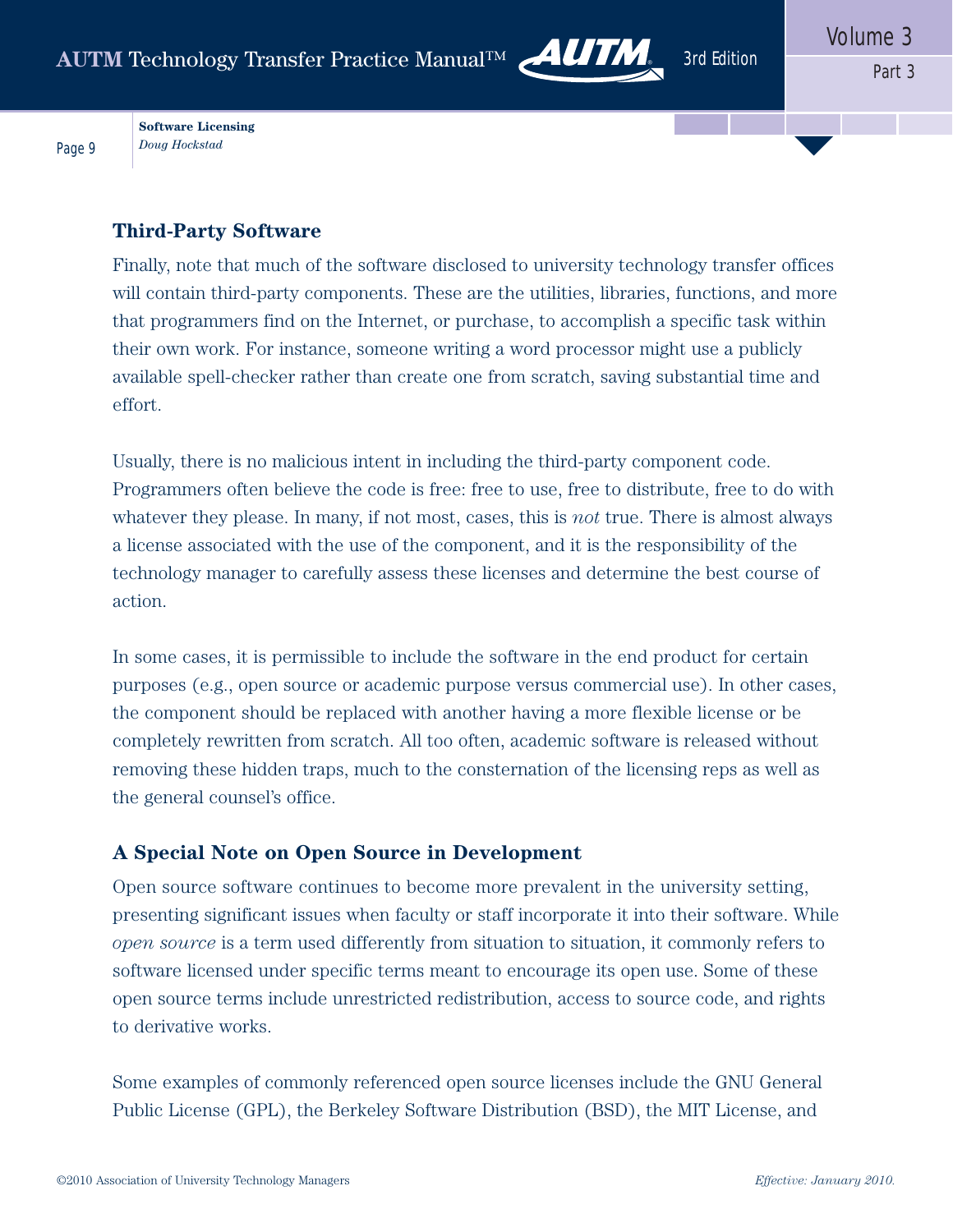

**Software Licensing** *Doug Hockstad*

Page 9

#### **Third-Party Software**

Finally, note that much of the software disclosed to university technology transfer offices will contain third-party components. These are the utilities, libraries, functions, and more that programmers find on the Internet, or purchase, to accomplish a specific task within their own work. For instance, someone writing a word processor might use a publicly available spell-checker rather than create one from scratch, saving substantial time and effort.

Usually, there is no malicious intent in including the third-party component code. Programmers often believe the code is free: free to use, free to distribute, free to do with whatever they please. In many, if not most, cases, this is *not* true. There is almost always a license associated with the use of the component, and it is the responsibility of the technology manager to carefully assess these licenses and determine the best course of action.

In some cases, it is permissible to include the software in the end product for certain purposes (e.g., open source or academic purpose versus commercial use). In other cases, the component should be replaced with another having a more flexible license or be completely rewritten from scratch. All too often, academic software is released without removing these hidden traps, much to the consternation of the licensing reps as well as the general counsel's office.

#### **A Special Note on Open Source in Development**

Open source software continues to become more prevalent in the university setting, presenting significant issues when faculty or staff incorporate it into their software. While *open source* is a term used differently from situation to situation, it commonly refers to software licensed under specific terms meant to encourage its open use. Some of these open source terms include unrestricted redistribution, access to source code, and rights to derivative works.

Some examples of commonly referenced open source licenses include the GNU General Public License (GPL), the Berkeley Software Distribution (BSD), the MIT License, and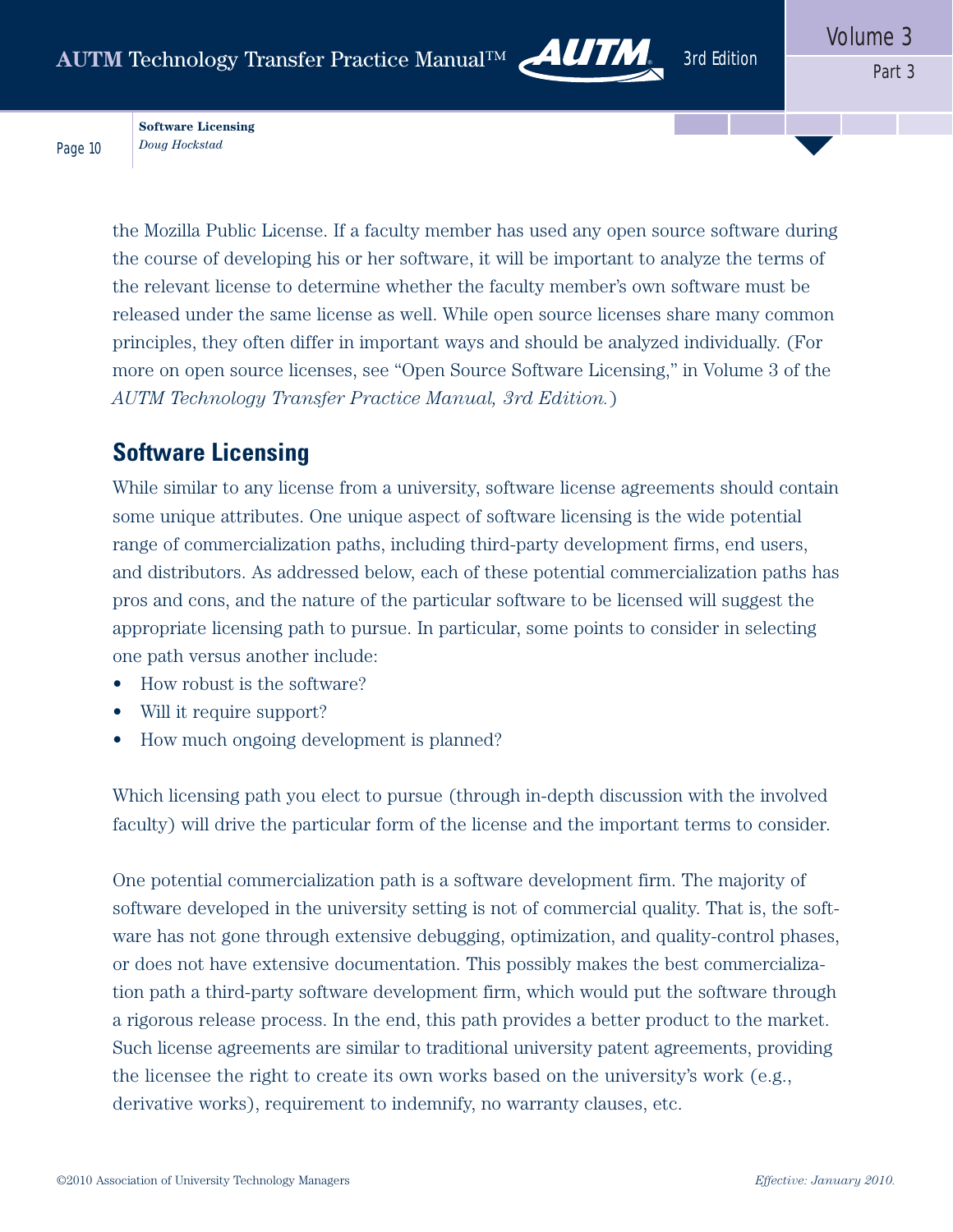

**Software Licensing** *Doug Hockstad*

Page 10

the Mozilla Public License. If a faculty member has used any open source software during the course of developing his or her software, it will be important to analyze the terms of the relevant license to determine whether the faculty member's own software must be released under the same license as well. While open source licenses share many common principles, they often differ in important ways and should be analyzed individually. (For more on open source licenses, see "Open Source Software Licensing," in Volume 3 of the *AUTM Technology Transfer Practice Manual, 3rd Edition.*)

# **Software Licensing**

While similar to any license from a university, software license agreements should contain some unique attributes. One unique aspect of software licensing is the wide potential range of commercialization paths, including third-party development firms, end users, and distributors. As addressed below, each of these potential commercialization paths has pros and cons, and the nature of the particular software to be licensed will suggest the appropriate licensing path to pursue. In particular, some points to consider in selecting one path versus another include:

- How robust is the software?
- Will it require support?
- How much ongoing development is planned?

Which licensing path you elect to pursue (through in-depth discussion with the involved faculty) will drive the particular form of the license and the important terms to consider.

One potential commercialization path is a software development firm. The majority of software developed in the university setting is not of commercial quality. That is, the software has not gone through extensive debugging, optimization, and quality-control phases, or does not have extensive documentation. This possibly makes the best commercialization path a third-party software development firm, which would put the software through a rigorous release process. In the end, this path provides a better product to the market. Such license agreements are similar to traditional university patent agreements, providing the licensee the right to create its own works based on the university's work (e.g., derivative works), requirement to indemnify, no warranty clauses, etc.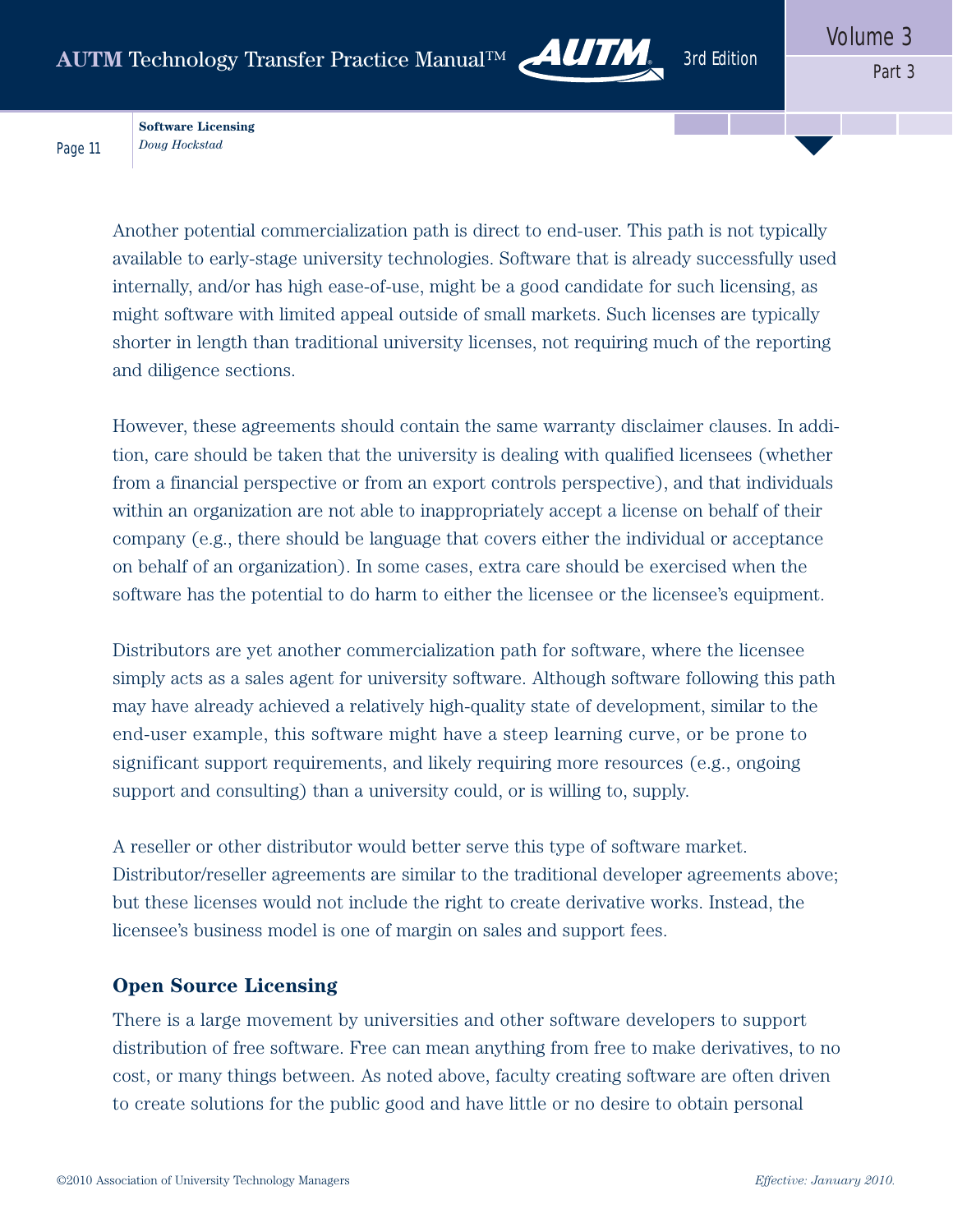

**Software Licensing** *Doug Hockstad*

Page 11

Another potential commercialization path is direct to end-user. This path is not typically available to early-stage university technologies. Software that is already successfully used internally, and/or has high ease-of-use, might be a good candidate for such licensing, as might software with limited appeal outside of small markets. Such licenses are typically shorter in length than traditional university licenses, not requiring much of the reporting and diligence sections.

However, these agreements should contain the same warranty disclaimer clauses. In addition, care should be taken that the university is dealing with qualified licensees (whether from a financial perspective or from an export controls perspective), and that individuals within an organization are not able to inappropriately accept a license on behalf of their company (e.g., there should be language that covers either the individual or acceptance on behalf of an organization). In some cases, extra care should be exercised when the software has the potential to do harm to either the licensee or the licensee's equipment.

Distributors are yet another commercialization path for software, where the licensee simply acts as a sales agent for university software. Although software following this path may have already achieved a relatively high-quality state of development, similar to the end-user example, this software might have a steep learning curve, or be prone to significant support requirements, and likely requiring more resources (e.g., ongoing support and consulting) than a university could, or is willing to, supply.

A reseller or other distributor would better serve this type of software market. Distributor/reseller agreements are similar to the traditional developer agreements above; but these licenses would not include the right to create derivative works. Instead, the licensee's business model is one of margin on sales and support fees.

#### **Open Source Licensing**

There is a large movement by universities and other software developers to support distribution of free software. Free can mean anything from free to make derivatives, to no cost, or many things between. As noted above, faculty creating software are often driven to create solutions for the public good and have little or no desire to obtain personal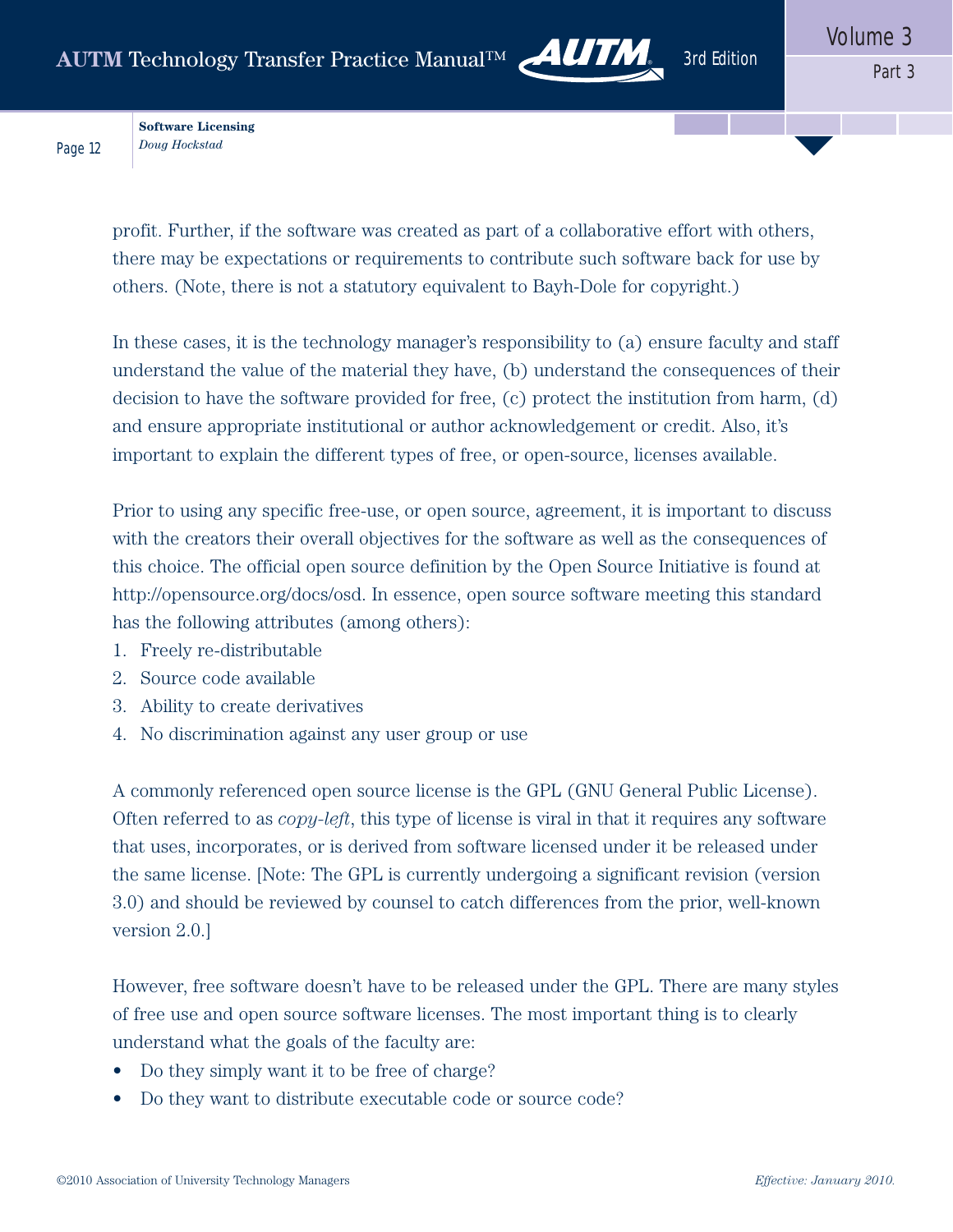

**Software Licensing** *Doug Hockstad*

Page 12

profit. Further, if the software was created as part of a collaborative effort with others, there may be expectations or requirements to contribute such software back for use by others. (Note, there is not a statutory equivalent to Bayh-Dole for copyright.)

In these cases, it is the technology manager's responsibility to (a) ensure faculty and staff understand the value of the material they have, (b) understand the consequences of their decision to have the software provided for free, (c) protect the institution from harm, (d) and ensure appropriate institutional or author acknowledgement or credit. Also, it's important to explain the different types of free, or open-source, licenses available.

Prior to using any specific free-use, or open source, agreement, it is important to discuss with the creators their overall objectives for the software as well as the consequences of this choice. The official open source definition by the Open Source Initiative is found at http://opensource.org/docs/osd. In essence, open source software meeting this standard has the following attributes (among others):

- 1. Freely re-distributable
- 2. Source code available
- 3. Ability to create derivatives
- 4. No discrimination against any user group or use

A commonly referenced open source license is the GPL (GNU General Public License). Often referred to as *copy-left*, this type of license is viral in that it requires any software that uses, incorporates, or is derived from software licensed under it be released under the same license. [Note: The GPL is currently undergoing a significant revision (version 3.0) and should be reviewed by counsel to catch differences from the prior, well-known version 2.0.]

However, free software doesn't have to be released under the GPL. There are many styles of free use and open source software licenses. The most important thing is to clearly understand what the goals of the faculty are:

- Do they simply want it to be free of charge?
- Do they want to distribute executable code or source code?